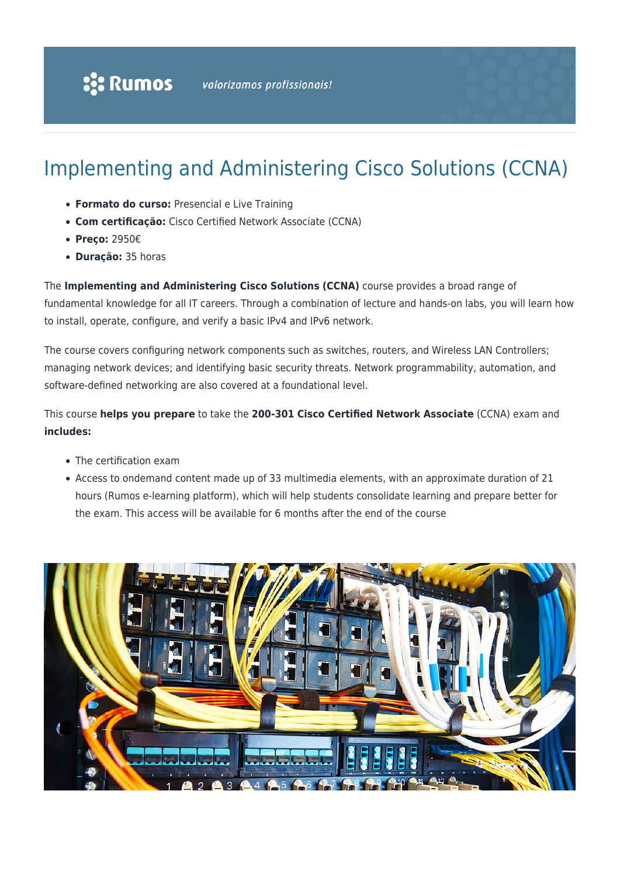# Implementing and Administering Cisco Solutions (CCNA)

- **Formato do curso:** Presencial e Live Training
- **Com certificação:** Cisco Certified Network Associate (CCNA)
- **Preço:** 2950€
- **Duração:** 35 horas

The **Implementing and Administering Cisco Solutions (CCNA)** course provides a broad range of fundamental knowledge for all IT careers. Through a combination of lecture and hands-on labs, you will learn how to install, operate, configure, and verify a basic IPv4 and IPv6 network.

The course covers configuring network components such as switches, routers, and Wireless LAN Controllers; managing network devices; and identifying basic security threats. Network programmability, automation, and software-defined networking are also covered at a foundational level.

This course **helps you prepare** to take the **200-301 Cisco Certified Network Associate** (CCNA) exam and **includes:**

- The certification exam
- Access to ondemand content made up of 33 multimedia elements, with an approximate duration of 21 hours (Rumos e-learning platform), which will help students consolidate learning and prepare better for the exam. This access will be available for 6 months after the end of the course

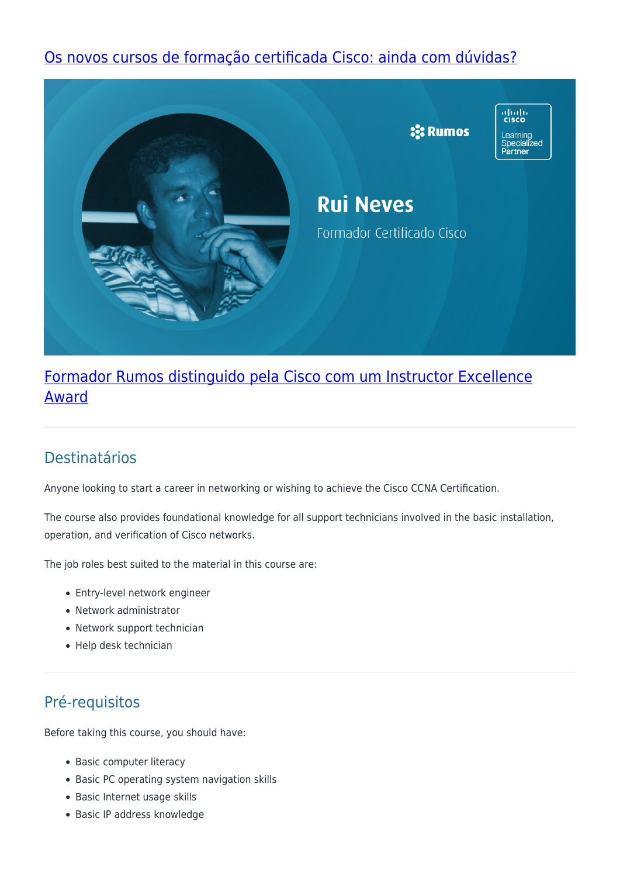## [Os novos cursos de formação certificada Cisco: ainda com dúvidas?](https://www.rumos.pt/noticias/formacao/os-novos-percursos-de-formacao-certificada-cisco/)



## [Formador Rumos distinguido pela Cisco com um Instructor Excellence](https://www.rumos.pt/noticias/formacao/como-e-ser-formador-cisco/) [Award](https://www.rumos.pt/noticias/formacao/como-e-ser-formador-cisco/)

## Destinatários

Anyone looking to start a career in networking or wishing to achieve the Cisco CCNA Certification.

The course also provides foundational knowledge for all support technicians involved in the basic installation, operation, and verification of Cisco networks.

The job roles best suited to the material in this course are:

- Entry-level network engineer
- Network administrator
- Network support technician
- Help desk technician

## Pré-requisitos

Before taking this course, you should have:

- Basic computer literacy
- Basic PC operating system navigation skills
- Basic Internet usage skills
- Basic IP address knowledge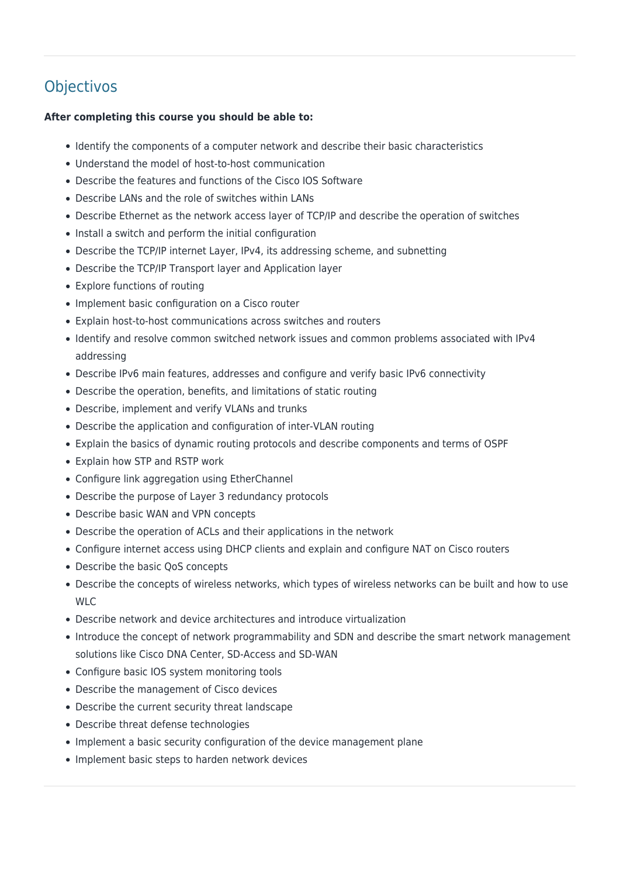## **Objectivos**

### **After completing this course you should be able to:**

- Identify the components of a computer network and describe their basic characteristics
- Understand the model of host-to-host communication
- Describe the features and functions of the Cisco IOS Software
- Describe LANs and the role of switches within LANs
- Describe Ethernet as the network access layer of TCP/IP and describe the operation of switches
- Install a switch and perform the initial configuration
- Describe the TCP/IP internet Layer, IPv4, its addressing scheme, and subnetting
- Describe the TCP/IP Transport layer and Application layer
- Explore functions of routing
- Implement basic configuration on a Cisco router
- Explain host-to-host communications across switches and routers
- Identify and resolve common switched network issues and common problems associated with IPv4 addressing
- Describe IPv6 main features, addresses and configure and verify basic IPv6 connectivity
- Describe the operation, benefits, and limitations of static routing
- Describe, implement and verify VLANs and trunks
- Describe the application and configuration of inter-VLAN routing
- Explain the basics of dynamic routing protocols and describe components and terms of OSPF
- Explain how STP and RSTP work
- Configure link aggregation using EtherChannel
- Describe the purpose of Layer 3 redundancy protocols
- Describe basic WAN and VPN concepts
- Describe the operation of ACLs and their applications in the network
- Configure internet access using DHCP clients and explain and configure NAT on Cisco routers
- Describe the basic OoS concepts
- Describe the concepts of wireless networks, which types of wireless networks can be built and how to use WLC
- Describe network and device architectures and introduce virtualization
- Introduce the concept of network programmability and SDN and describe the smart network management solutions like Cisco DNA Center, SD-Access and SD-WAN
- Configure basic IOS system monitoring tools
- Describe the management of Cisco devices
- Describe the current security threat landscape
- Describe threat defense technologies
- Implement a basic security configuration of the device management plane
- Implement basic steps to harden network devices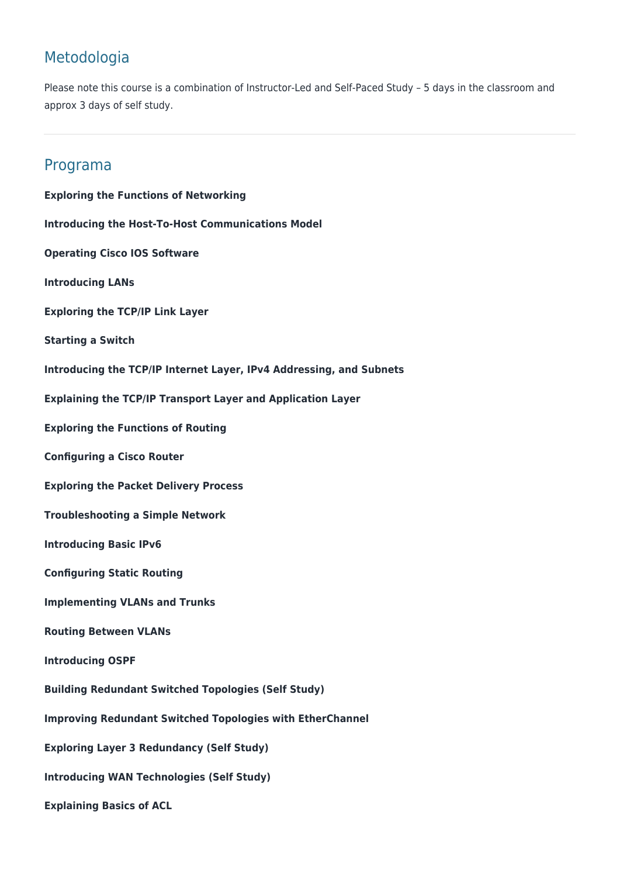## Metodologia

Please note this course is a combination of Instructor-Led and Self-Paced Study – 5 days in the classroom and approx 3 days of self study.

## Programa

**Exploring the Functions of Networking Introducing the Host-To-Host Communications Model Operating Cisco IOS Software Introducing LANs Exploring the TCP/IP Link Layer Starting a Switch Introducing the TCP/IP Internet Layer, IPv4 Addressing, and Subnets Explaining the TCP/IP Transport Layer and Application Layer Exploring the Functions of Routing Configuring a Cisco Router Exploring the Packet Delivery Process Troubleshooting a Simple Network Introducing Basic IPv6 Configuring Static Routing Implementing VLANs and Trunks Routing Between VLANs Introducing OSPF Building Redundant Switched Topologies (Self Study) Improving Redundant Switched Topologies with EtherChannel Exploring Layer 3 Redundancy (Self Study) Introducing WAN Technologies (Self Study) Explaining Basics of ACL**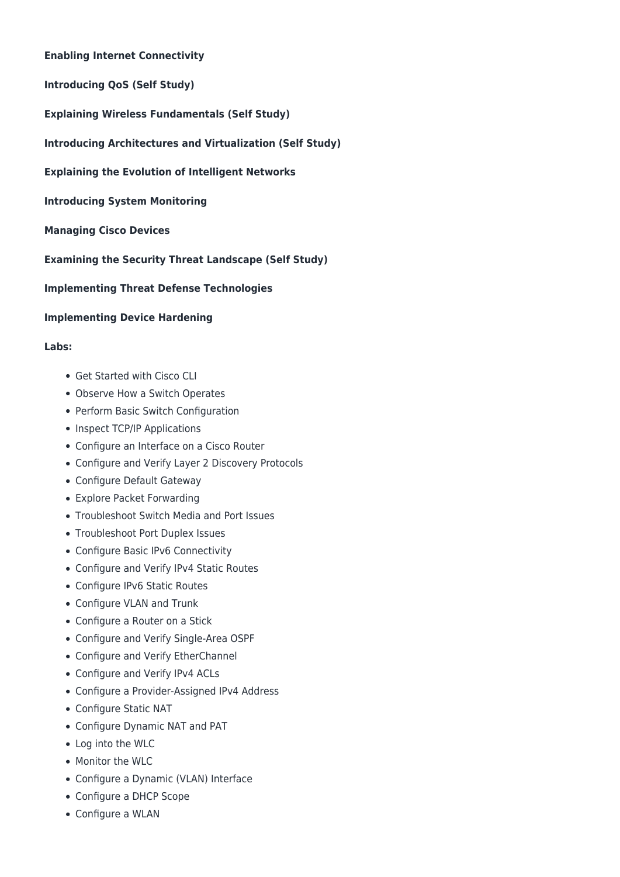### **Enabling Internet Connectivity**

**Introducing QoS (Self Study)**

**Explaining Wireless Fundamentals (Self Study)**

- **Introducing Architectures and Virtualization (Self Study)**
- **Explaining the Evolution of Intelligent Networks**

**Introducing System Monitoring**

**Managing Cisco Devices**

**Examining the Security Threat Landscape (Self Study)**

### **Implementing Threat Defense Technologies**

### **Implementing Device Hardening**

### **Labs:**

- Get Started with Cisco CLI
- Observe How a Switch Operates
- Perform Basic Switch Configuration
- Inspect TCP/IP Applications
- Configure an Interface on a Cisco Router
- Configure and Verify Layer 2 Discovery Protocols
- Configure Default Gateway
- Explore Packet Forwarding
- Troubleshoot Switch Media and Port Issues
- Troubleshoot Port Duplex Issues
- Configure Basic IPv6 Connectivity
- Configure and Verify IPv4 Static Routes
- Configure IPv6 Static Routes
- Configure VLAN and Trunk
- Configure a Router on a Stick
- Configure and Verify Single-Area OSPF
- Configure and Verify EtherChannel
- Configure and Verify IPv4 ACLs
- Configure a Provider-Assigned IPv4 Address
- Configure Static NAT
- Configure Dynamic NAT and PAT
- Log into the WLC
- Monitor the WLC
- Configure a Dynamic (VLAN) Interface
- Configure a DHCP Scope
- Configure a WLAN